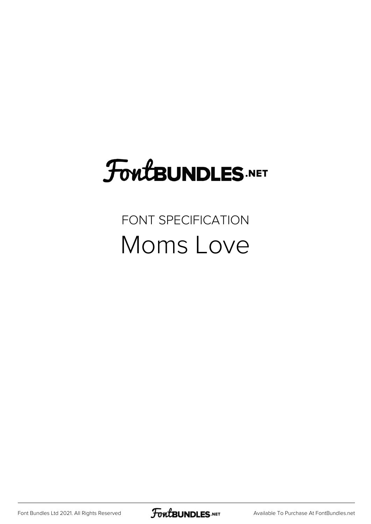# **FoutBUNDLES.NET**

#### FONT SPECIFICATION Moms Love

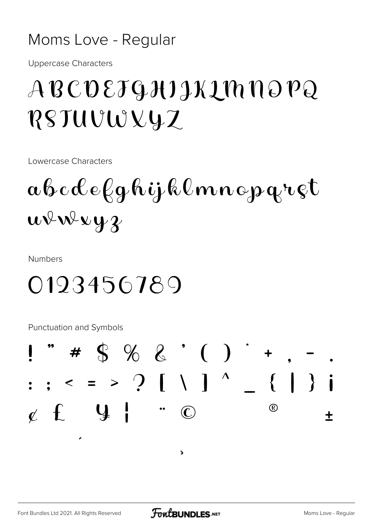#### Moms Love - Regular

**Uppercase Characters** 

## ABCDEJGHIJKIMNOPQ RSTUVWXYZ

Lowercase Characters

# $\alpha\beta c\alpha\ell e\ell g$ hijklmnopqret  $uv^{\downarrow}w^{\downarrow}y^{\downarrow}$

**Numbers** 

### 0123456789

**Punctuation and Symbols** 



 $\overline{ }$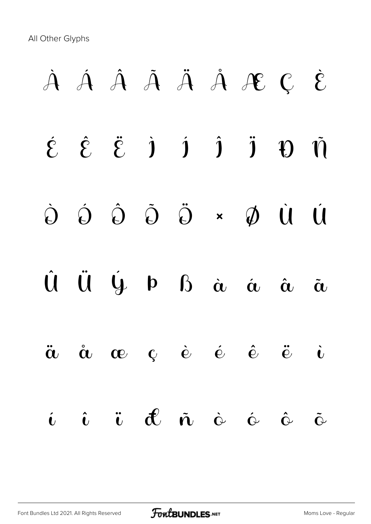All Other Glyphs

# À Á Â Ã Ä Å Æ Ç È  $\acute{\epsilon}$   $\acute{\epsilon}$   $\acute{\epsilon}$   $\acute{\epsilon}$   $\acute{\epsilon}$   $\acute{\epsilon}$   $\acute{\epsilon}$   $\acute{\epsilon}$   $\acute{\epsilon}$   $\acute{\epsilon}$   $\acute{\epsilon}$   $\acute{\epsilon}$   $\acute{\epsilon}$   $\acute{\epsilon}$   $\acute{\epsilon}$   $\acute{\epsilon}$   $\acute{\epsilon}$   $\acute{\epsilon}$   $\acute{\epsilon}$   $\acute{\epsilon}$   $\acute{\epsilon}$   $\acute{\epsilon}$   $\acute{\epsilon}$   $\acute{\epsilon}$   $\acute{\epsilon}$   $\acute{\epsilon}$   $\acute{\epsilon}$   $\acute{\epsilon$ Ò Ó Ô Õ Ö × Ø Ù Ú Û Ü Ý Þ ß à á â ã ä å æ ç è é ê ë ì í î ï ð ñ ò ó ô õ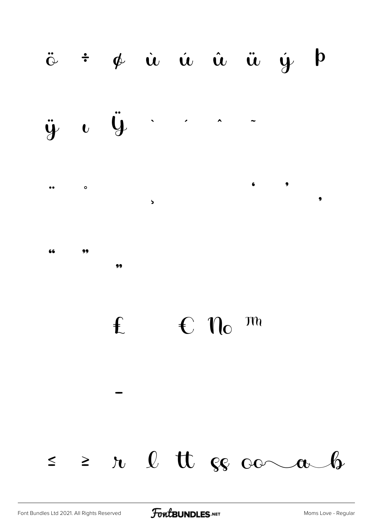#### $\ddot{\text{o}}$   $\div$   $\phi$   $\dot{u}$   $\dot{u}$   $\dot{u}$   $\ddot{u}$   $\dot{y}$   $\phi$







 $\epsilon$   $n_{\rm o}$   $m$  $f$ 

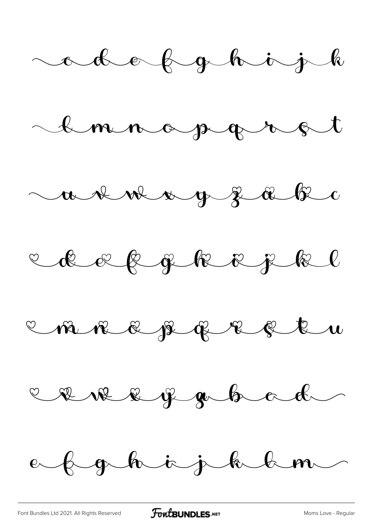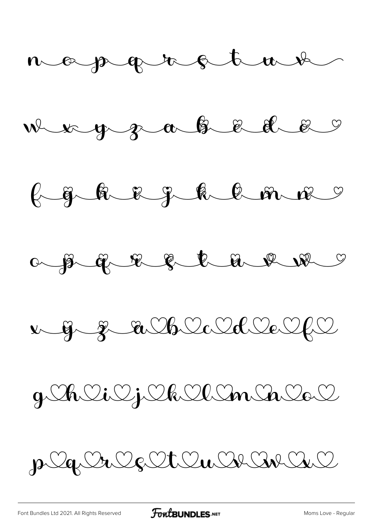